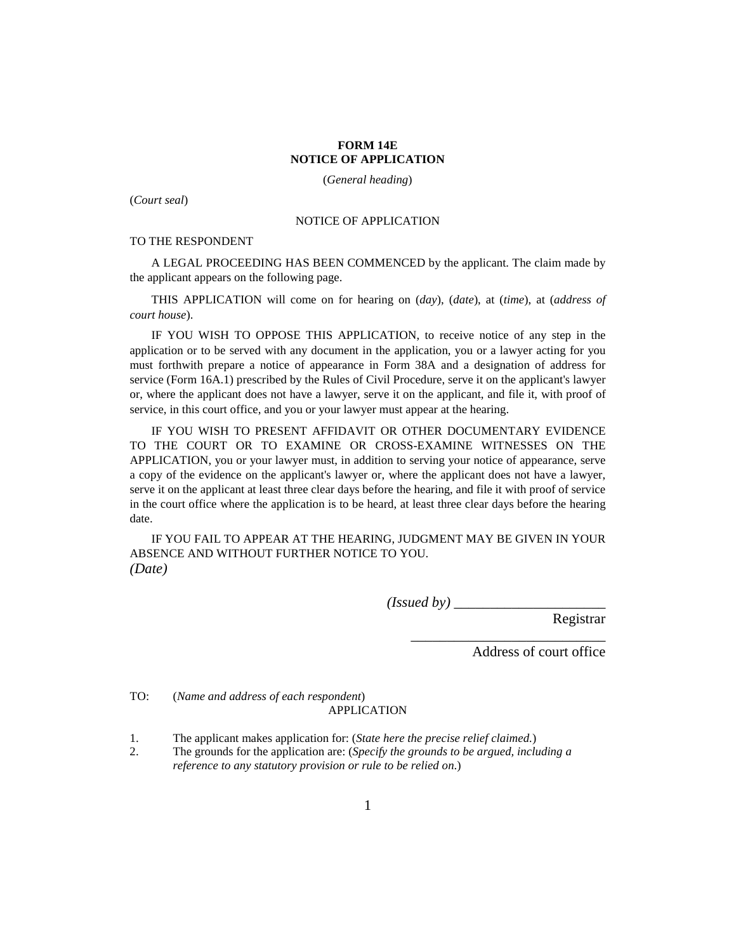## **FORM 14E NOTICE OF APPLICATION**

(*General heading*)

(*Court seal*)

## NOTICE OF APPLICATION

## TO THE RESPONDENT

A LEGAL PROCEEDING HAS BEEN COMMENCED by the applicant. The claim made by the applicant appears on the following page.

THIS APPLICATION will come on for hearing on (*day*), (*date*), at (*time*), at (*address of court house*).

IF YOU WISH TO OPPOSE THIS APPLICATION, to receive notice of any step in the application or to be served with any document in the application, you or a lawyer acting for you must forthwith prepare a notice of appearance in Form 38A and a designation of address for service (Form 16A.1) prescribed by the Rules of Civil Procedure, serve it on the applicant's lawyer or, where the applicant does not have a lawyer, serve it on the applicant, and file it, with proof of service, in this court office, and you or your lawyer must appear at the hearing.

IF YOU WISH TO PRESENT AFFIDAVIT OR OTHER DOCUMENTARY EVIDENCE TO THE COURT OR TO EXAMINE OR CROSS-EXAMINE WITNESSES ON THE APPLICATION, you or your lawyer must, in addition to serving your notice of appearance, serve a copy of the evidence on the applicant's lawyer or, where the applicant does not have a lawyer, serve it on the applicant at least three clear days before the hearing, and file it with proof of service in the court office where the application is to be heard, at least three clear days before the hearing date.

IF YOU FAIL TO APPEAR AT THE HEARING, JUDGMENT MAY BE GIVEN IN YOUR ABSENCE AND WITHOUT FURTHER NOTICE TO YOU. *(Date)*

*(Issued by)* \_\_\_\_\_\_\_\_\_\_\_\_\_\_\_\_\_\_\_\_\_

Registrar

Address of court office

\_\_\_\_\_\_\_\_\_\_\_\_\_\_\_\_\_\_\_\_\_\_\_\_\_\_\_

TO: (*Name and address of each respondent*) APPLICATION

1. The applicant makes application for: (*State here the precise relief claimed.*)

2. The grounds for the application are: (*Specify the grounds to be argued, including a reference to any statutory provision or rule to be relied on*.)